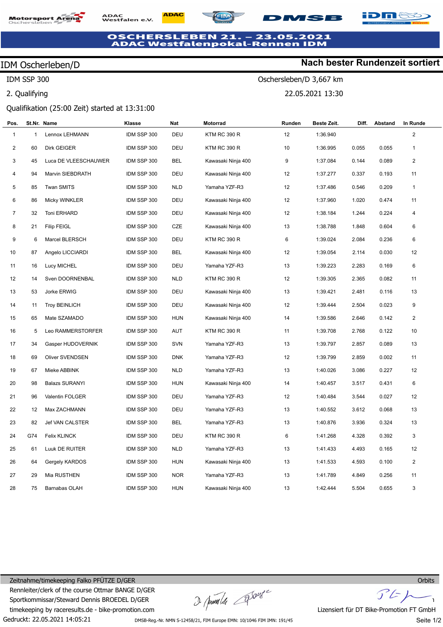### **Motorsport Are**



#### **1SB**

# **OSCHERSLEBEN 21. – 23.05.2021**<br>ADAC Westfalenpokal-Rennen IDM

#### IDM Oscherleben/D

IDM SSP 300

2. Qualifying

#### **Nach bester Rundenzeit sortiert**

**iDM&** 

Oschersleben/D 3,667 km 22.05.2021 13:30

Qualifikation (25:00 Zeit) started at 13:31:00

| Pos.           |              | St.Nr. Name            | Klasse      | Nat        | Motorrad            | Runden | Beste Zeit. | Diff. | Abstand | In Runde       |
|----------------|--------------|------------------------|-------------|------------|---------------------|--------|-------------|-------|---------|----------------|
| $\mathbf{1}$   | $\mathbf{1}$ | Lennox LEHMANN         | IDM SSP 300 | DEU        | <b>KTM RC 390 R</b> | 12     | 1:36.940    |       |         | $\overline{2}$ |
| $\overline{2}$ | 60           | <b>Dirk GEIGER</b>     | IDM SSP 300 | DEU        | <b>KTM RC 390 R</b> | 10     | 1:36.995    | 0.055 | 0.055   | $\mathbf{1}$   |
| 3              | 45           | Luca DE VLEESCHAUWER   | IDM SSP 300 | <b>BEL</b> | Kawasaki Ninja 400  | 9      | 1:37.084    | 0.144 | 0.089   | 2              |
| 4              | 94           | Marvin SIEBDRATH       | IDM SSP 300 | DEU        | Kawasaki Ninja 400  | 12     | 1:37.277    | 0.337 | 0.193   | 11             |
| 5              | 85           | <b>Twan SMITS</b>      | IDM SSP 300 | <b>NLD</b> | Yamaha YZF-R3       | 12     | 1:37.486    | 0.546 | 0.209   | $\mathbf{1}$   |
| $\,6\,$        | 86           | Micky WINKLER          | IDM SSP 300 | DEU        | Kawasaki Ninja 400  | 12     | 1:37.960    | 1.020 | 0.474   | 11             |
| $\overline{7}$ | 32           | Toni ERHARD            | IDM SSP 300 | DEU        | Kawasaki Ninja 400  | 12     | 1:38.184    | 1.244 | 0.224   | $\overline{4}$ |
| 8              | 21           | <b>Filip FEIGL</b>     | IDM SSP 300 | CZE        | Kawasaki Ninja 400  | 13     | 1:38.788    | 1.848 | 0.604   | 6              |
| 9              | 6            | Marcel BLERSCH         | IDM SSP 300 | DEU        | <b>KTM RC 390 R</b> | 6      | 1:39.024    | 2.084 | 0.236   | 6              |
| 10             | 87           | Angelo LICCIARDI       | IDM SSP 300 | BEL        | Kawasaki Ninja 400  | 12     | 1:39.054    | 2.114 | 0.030   | 12             |
| 11             | 16           | Lucy MICHEL            | IDM SSP 300 | DEU        | Yamaha YZF-R3       | 13     | 1:39.223    | 2.283 | 0.169   | 6              |
| 12             | 14           | Sven DOORNENBAL        | IDM SSP 300 | <b>NLD</b> | <b>KTM RC 390 R</b> | 12     | 1:39.305    | 2.365 | 0.082   | 11             |
| 13             | 53           | Jorke ERWIG            | IDM SSP 300 | DEU        | Kawasaki Ninja 400  | 13     | 1:39.421    | 2.481 | 0.116   | 13             |
| 14             | 11           | <b>Troy BEINLICH</b>   | IDM SSP 300 | DEU        | Kawasaki Ninja 400  | 12     | 1:39.444    | 2.504 | 0.023   | 9              |
| 15             | 65           | Mate SZAMADO           | IDM SSP 300 | <b>HUN</b> | Kawasaki Ninja 400  | 14     | 1:39.586    | 2.646 | 0.142   | $\overline{2}$ |
| 16             | 5            | Leo RAMMERSTORFER      | IDM SSP 300 | AUT        | KTM RC 390 R        | 11     | 1:39.708    | 2.768 | 0.122   | 10             |
| 17             | 34           | Gasper HUDOVERNIK      | IDM SSP 300 | <b>SVN</b> | Yamaha YZF-R3       | 13     | 1:39.797    | 2.857 | 0.089   | 13             |
| 18             | 69           | Oliver SVENDSEN        | IDM SSP 300 | <b>DNK</b> | Yamaha YZF-R3       | 12     | 1:39.799    | 2.859 | 0.002   | 11             |
| 19             | 67           | Mieke ABBINK           | IDM SSP 300 | <b>NLD</b> | Yamaha YZF-R3       | 13     | 1:40.026    | 3.086 | 0.227   | 12             |
| 20             | 98           | <b>Balazs SURANYI</b>  | IDM SSP 300 | <b>HUN</b> | Kawasaki Ninja 400  | 14     | 1:40.457    | 3.517 | 0.431   | 6              |
| 21             | 96           | Valentin FOLGER        | IDM SSP 300 | DEU        | Yamaha YZF-R3       | 12     | 1:40.484    | 3.544 | 0.027   | 12             |
| 22             | 12           | Max ZACHMANN           | IDM SSP 300 | DEU        | Yamaha YZF-R3       | 13     | 1:40.552    | 3.612 | 0.068   | 13             |
| 23             | 82           | <b>Jef VAN CALSTER</b> | IDM SSP 300 | BEL        | Yamaha YZF-R3       | 13     | 1:40.876    | 3.936 | 0.324   | 13             |
| 24             | G74          | <b>Felix KLINCK</b>    | IDM SSP 300 | DEU        | KTM RC 390 R        | 6      | 1:41.268    | 4.328 | 0.392   | 3              |
| 25             | 61           | Luuk DE RUITER         | IDM SSP 300 | <b>NLD</b> | Yamaha YZF-R3       | 13     | 1:41.433    | 4.493 | 0.165   | 12             |
| 26             | 64           | Gergely KARDOS         | IDM SSP 300 | <b>HUN</b> | Kawasaki Ninja 400  | 13     | 1:41.533    | 4.593 | 0.100   | $\overline{2}$ |
| 27             | 29           | Mia RUSTHEN            | IDM SSP 300 | <b>NOR</b> | Yamaha YZF-R3       | 13     | 1:41.789    | 4.849 | 0.256   | 11             |
| 28             | 75           | Barnabas OLAH          | IDM SSP 300 | <b>HUN</b> | Kawasaki Ninja 400  | 13     | 1:42.444    | 5.504 | 0.655   | 3              |

Gedruckt: 22.05.2021 14:05:21 Zeitnahme/timekeeping Falko PFÜTZE D/GER Rennleiter/clerk of the course Ottmar BANGE D/GER Sportkommissar/Steward Dennis BROEDEL D/GER timekeeping by raceresults.de - bike-promotion.com

I pumla 20mg

 $F$ 

Lizensiert für DT Bike-Promotion FT GmbH

DMSB-Reg.-Nr. NMN S-12458/21, FIM Europe EMN: 10/1046 FIM IMN: 191/45

**Orbits** 

Seite 1/2